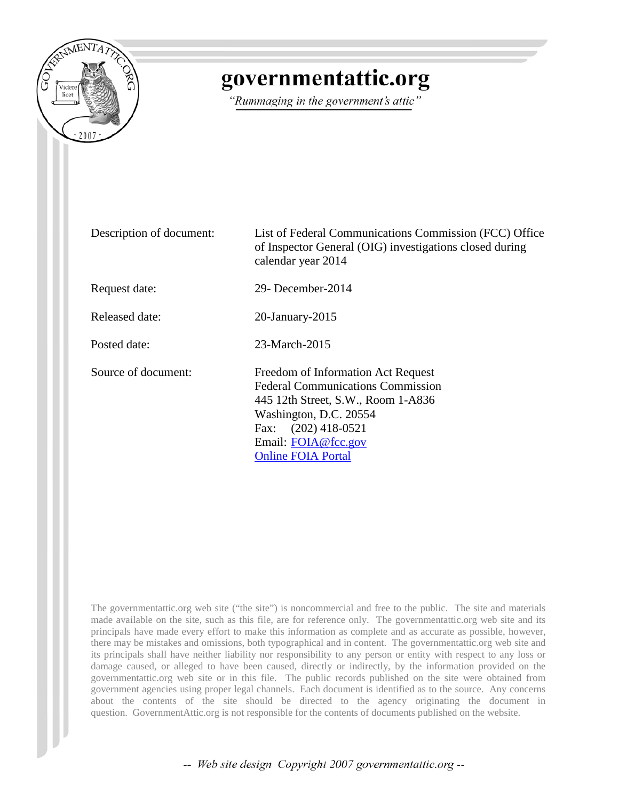

## governmentattic.org

"Rummaging in the government's attic"

Description of document: List of Federal Communications Commission (FCC) Office of Inspector General (OIG) investigations closed during calendar year 2014 Request date: 29- December-2014 Released date: 20-January-2015 Posted date: 23-March-2015 Source of document: Freedom of Information Act Request Federal Communications Commission 445 12th Street, S.W., Room 1-A836 Washington, D.C. 20554 Fax: (202) 418-0521 Email: [FOIA@fcc.gov](mailto:FOIA@fcc.gov?subject=FOIA%20Request) [Online FOIA Portal](https://foiaonline.regulations.gov/foia/action/public/home)

The governmentattic.org web site ("the site") is noncommercial and free to the public. The site and materials made available on the site, such as this file, are for reference only. The governmentattic.org web site and its principals have made every effort to make this information as complete and as accurate as possible, however, there may be mistakes and omissions, both typographical and in content. The governmentattic.org web site and its principals shall have neither liability nor responsibility to any person or entity with respect to any loss or damage caused, or alleged to have been caused, directly or indirectly, by the information provided on the governmentattic.org web site or in this file. The public records published on the site were obtained from government agencies using proper legal channels. Each document is identified as to the source. Any concerns about the contents of the site should be directed to the agency originating the document in question. GovernmentAttic.org is not responsible for the contents of documents published on the website.

-- Web site design Copyright 2007 governmentattic.org --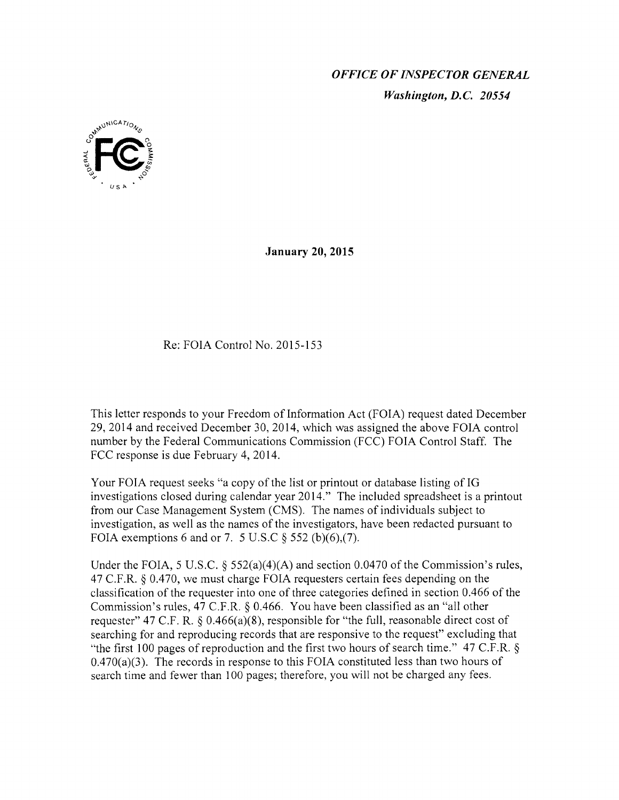*OFFICE OF INSPECTOR GENERAL Washington, D.C. 20554* 



**January 20, 2015** 

## Re: FOIA Control No. 2015-153

This letter responds to your Freedom of Information Act (FOIA) request dated December 29, 2014 and received December 30, 2014, which was assigned the above FOIA control number by the Federal Communications Commission (FCC) FOIA Control Staff. The FCC response is due February 4, 2014.

Your FOIA request seeks "a copy of the list or printout or database listing of IG investigations closed during calendar year 2014." The included spreadsheet is a printout from our Case Management System (CMS). The names of individuals subject to investigation, as well as the names of the investigators, have been redacted pursuant to FOIA exemptions 6 and or 7. 5 U.S.C  $\S$  552 (b)(6),(7).

Under the FOIA, 5 U.S.C.  $\frac{552(a)(4)(A)}{A}$  and section 0.0470 of the Commission's rules, 47 C.F.R. § 0.470, we must charge FOIA requesters certain fees depending on the classification of the requester into one of three categories defined in section 0.466 of the Commission's rules, 47 C.F.R. § 0.466. You have been classified as an "all other requester" 47 C.F. R. § 0.466(a)(8), responsible for "the full, reasonable direct cost of searching for and reproducing records that are responsive to the request" excluding that "the first 100 pages of reproduction and the first two hours of search time."  $47$  C.F.R. §  $0.470(a)(3)$ . The records in response to this FOIA constituted less than two hours of search time and fewer than 100 pages; therefore, you will not be charged any fees.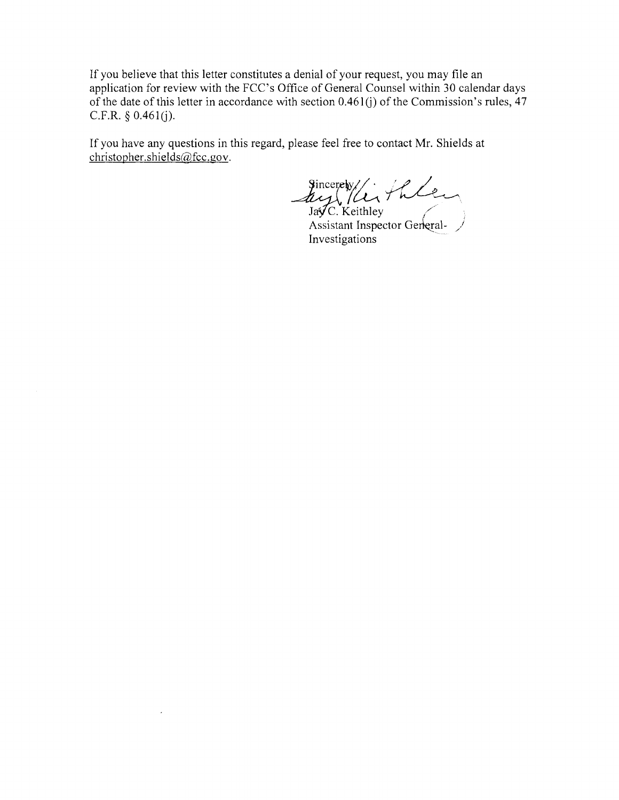If you believe that this letter constitutes a denial of your request, you may file an application for review with the FCC's Office of General Counsel within 30 calendar days of the date of this letter in accordance with section  $0.461(i)$  of the Commission's rules,  $47$ C.F.R. § 0.461(j).

If you have any questions in this regard, please feel free to contact Mr. Shields at christopher.shields@fcc.gov.

Sincerety/<br>Jay (/Li/hlen<br>Jay C. Keithley

Assistant Inspector Gerkeral-  $\frac{1}{2}$ Investigations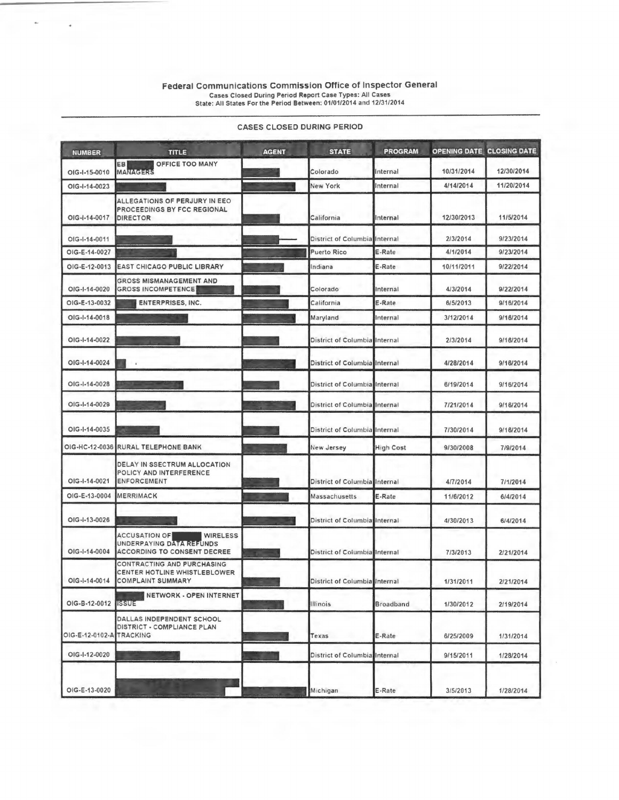## Federal communications commission Office of Inspector General Cases Closed During Period Report Case Types: All Cases State: All States For the Period Between: 01/01/2014 and 12/31/2014

| <b>NUMBER</b>       | <b>TITLE</b>                                                                                              | <b>AGENT</b> | <b>STATE</b>                  | <b>PROGRAM</b>   | OPENING DATE CLOSING DATE |            |
|---------------------|-----------------------------------------------------------------------------------------------------------|--------------|-------------------------------|------------------|---------------------------|------------|
| OIG-I-15-0010       | OFFICE TOO MANY<br>EB<br><b>MANAGERS</b>                                                                  |              | Colorado                      | Internal         | 10/31/2014                | 12/30/2014 |
| OIG-I-14-0023       |                                                                                                           |              | New York                      | Internal         | 4/14/2014                 | 11/20/2014 |
| OIG-I-14-0017       | ALLEGATIONS OF PERJURY IN EEO<br>PROCEEDINGS BY FCC REGIONAL<br>DIRECTOR                                  |              | California                    | Internal         | 12/30/2013                | 11/5/2014  |
| OIG-I-14-0011       |                                                                                                           |              | District of Columbia Internal |                  | 2/3/2014                  | 9/23/2014  |
| OIG-E-14-0027       |                                                                                                           |              | <b>Puerto Rico</b>            | E-Rate           | 4/1/2014                  | 9/23/2014  |
| OIG-E-12-0013       | <b>EAST CHICAGO PUBLIC LIBRARY</b>                                                                        |              | Indiana                       | E-Rate           | 10/11/2011                | 9/22/2014  |
| OIG-I-14-0020       | <b>GROSS MISMANAGEMENT AND</b><br><b>GROSS INCOMPETENCE</b>                                               |              | Colorado                      | Internal         | 4/3/2014                  | 9/22/2014  |
| OIG-E-13-0032       | <b>ENTERPRISES, INC.</b>                                                                                  |              | California                    | E-Rate           | 6/5/2013                  | 9/16/2014  |
| OIG-I-14-0018       |                                                                                                           |              | Maryland                      | Internal         | 3/12/2014                 | 9/16/2014  |
| OIG-I-14-0022       |                                                                                                           |              | District of Columbia Internal |                  | 2/3/2014                  | 9/16/2014  |
| OIG-I-14-0024       |                                                                                                           |              | District of Columbia Internal |                  | 4/28/2014                 | 9/16/2014  |
| OIG-I-14-0028       |                                                                                                           |              | District of Columbia Internal |                  | 6/19/2014                 | 9/16/2014  |
| OIG-I-14-0029       |                                                                                                           |              | District of Columbia Internal |                  | 7/21/2014                 | 9/16/2014  |
| OIG-I-14-0035       |                                                                                                           |              | District of Columbia Internal |                  | 7/30/2014                 | 9/16/2014  |
|                     | OIG-HC-12-0036 RURAL TELEPHONE BANK                                                                       |              | New Jersey                    | <b>High Cost</b> | 9/30/2008                 | 7/9/2014   |
| OIG-I-14-0021       | DELAY IN SSECTRUM ALLOCATION<br>POLICY AND INTERFERENCE<br><b>ENFORCEMENT</b>                             |              | District of Columbia Internal |                  | 4/7/2014                  | 7/1/2014   |
| OIG-E-13-0004       | <b>MERRIMACK</b>                                                                                          |              | Massachusetts                 | E-Rate           | 11/6/2012                 | 6/4/2014   |
| OIG-I-13-0026       |                                                                                                           |              | District of Columbia Internal |                  | 4/30/2013                 | 6/4/2014   |
| OIG-1-14-0004       | <b>ACCUSATION OF</b><br><b>WIRELESS</b><br>UNDERPAYING DATA REFUNDS<br><b>ACCORDING TO CONSENT DECREE</b> |              | District of Columbia Internal |                  | 7/3/2013                  | 2/21/2014  |
| OIG-I-14-0014       | CONTRACTING AND PURCHASING<br>CENTER HOTLINE WHISTLEBLOWER<br><b>COMPLAINT SUMMARY</b>                    |              | District of Columbia Internal |                  | 1/31/2011                 | 2/21/2014  |
| OIG-B-12-0012 ISSUE | NETWORK - OPEN INTERNET                                                                                   |              | Illinois                      | Broadband        | 1/30/2012                 | 2/19/2014  |
| OIG-E-12-0102-A     | <b>DALLAS INDEPENDENT SCHOOL</b><br>DISTRICT - COMPLIANCE PLAN<br>TRACKING                                |              | Texas                         | E-Rate           | 6/25/2009                 | 1/31/2014  |
| OIG-I-12-0020       |                                                                                                           |              | District of Columbia Internal |                  | 9/15/2011                 | 1/28/2014  |
| OIG-E-13-0020       |                                                                                                           |              | Michigan                      | E-Rate           | 3/5/2013                  | 1/28/2014  |

## CASES CLOSED DURING PERIOD